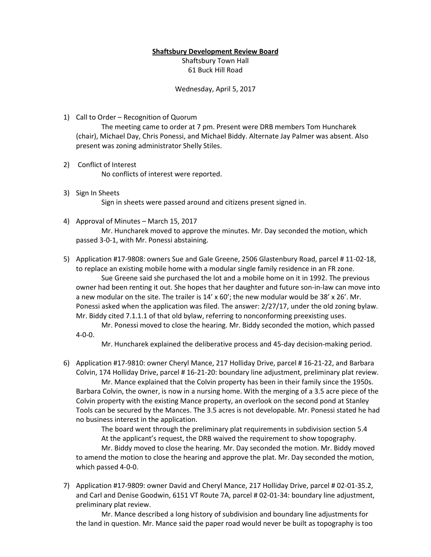## **Shaftsbury Development Review Board**

Shaftsbury Town Hall 61 Buck Hill Road

Wednesday, April 5, 2017

1) Call to Order – Recognition of Quorum

The meeting came to order at 7 pm. Present were DRB members Tom Huncharek (chair), Michael Day, Chris Ponessi, and Michael Biddy. Alternate Jay Palmer was absent. Also present was zoning administrator Shelly Stiles.

- 2) Conflict of Interest No conflicts of interest were reported.
- 3) Sign In Sheets Sign in sheets were passed around and citizens present signed in.
- 4) Approval of Minutes March 15, 2017 Mr. Huncharek moved to approve the minutes. Mr. Day seconded the motion, which passed 3-0-1, with Mr. Ponessi abstaining.
- 5) Application #17-9808: owners Sue and Gale Greene, 2506 Glastenbury Road, parcel # 11-02-18, to replace an existing mobile home with a modular single family residence in an FR zone. Sue Greene said she purchased the lot and a mobile home on it in 1992. The previous owner had been renting it out. She hopes that her daughter and future son-in-law can move into a new modular on the site. The trailer is  $14' \times 60'$ ; the new modular would be 38' x 26'. Mr. Ponessi asked when the application was filed. The answer: 2/27/17, under the old zoning bylaw. Mr. Biddy cited 7.1.1.1 of that old bylaw, referring to nonconforming preexisting uses.

Mr. Ponessi moved to close the hearing. Mr. Biddy seconded the motion, which passed 4-0-0.

Mr. Huncharek explained the deliberative process and 45-day decision-making period.

6) Application #17-9810: owner Cheryl Mance, 217 Holliday Drive, parcel # 16-21-22, and Barbara Colvin, 174 Holliday Drive, parcel # 16-21-20: boundary line adjustment, preliminary plat review.

Mr. Mance explained that the Colvin property has been in their family since the 1950s. Barbara Colvin, the owner, is now in a nursing home. With the merging of a 3.5 acre piece of the Colvin property with the existing Mance property, an overlook on the second pond at Stanley Tools can be secured by the Mances. The 3.5 acres is not developable. Mr. Ponessi stated he had no business interest in the application.

The board went through the preliminary plat requirements in subdivision section 5.4 At the applicant's request, the DRB waived the requirement to show topography.

Mr. Biddy moved to close the hearing. Mr. Day seconded the motion. Mr. Biddy moved to amend the motion to close the hearing and approve the plat. Mr. Day seconded the motion, which passed 4-0-0.

7) Application #17-9809: owner David and Cheryl Mance, 217 Holliday Drive, parcel # 02-01-35.2, and Carl and Denise Goodwin, 6151 VT Route 7A, parcel # 02-01-34: boundary line adjustment, preliminary plat review.

Mr. Mance described a long history of subdivision and boundary line adjustments for the land in question. Mr. Mance said the paper road would never be built as topography is too